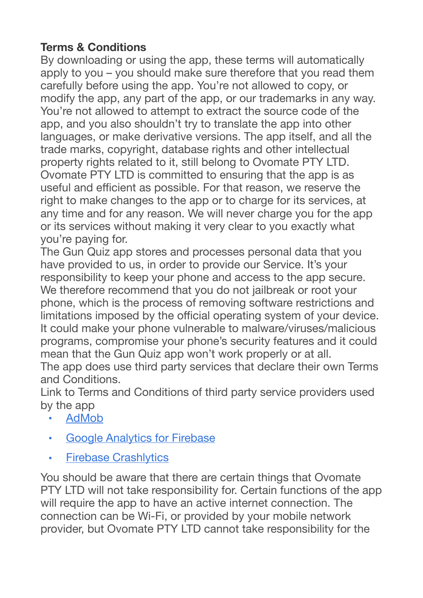## **Terms & Conditions**

By downloading or using the app, these terms will automatically apply to you – you should make sure therefore that you read them carefully before using the app. You're not allowed to copy, or modify the app, any part of the app, or our trademarks in any way. You're not allowed to attempt to extract the source code of the app, and you also shouldn't try to translate the app into other languages, or make derivative versions. The app itself, and all the trade marks, copyright, database rights and other intellectual property rights related to it, still belong to Ovomate PTY LTD. Ovomate PTY LTD is committed to ensuring that the app is as useful and efficient as possible. For that reason, we reserve the right to make changes to the app or to charge for its services, at any time and for any reason. We will never charge you for the app or its services without making it very clear to you exactly what you're paying for.

The Gun Quiz app stores and processes personal data that you have provided to us, in order to provide our Service. It's your responsibility to keep your phone and access to the app secure. We therefore recommend that you do not jailbreak or root your phone, which is the process of removing software restrictions and limitations imposed by the official operating system of your device. It could make your phone vulnerable to malware/viruses/malicious programs, compromise your phone's security features and it could mean that the Gun Quiz app won't work properly or at all.

The app does use third party services that declare their own Terms and Conditions.

Link to Terms and Conditions of third party service providers used by the app

- [AdMob](https://developers.google.com/admob/terms)
- [Google Analytics for Firebase](https://firebase.google.com/terms/analytics)
- [Firebase Crashlytics](https://firebase.google.com/terms/crashlytics)

You should be aware that there are certain things that Ovomate PTY LTD will not take responsibility for. Certain functions of the app will require the app to have an active internet connection. The connection can be Wi-Fi, or provided by your mobile network provider, but Ovomate PTY LTD cannot take responsibility for the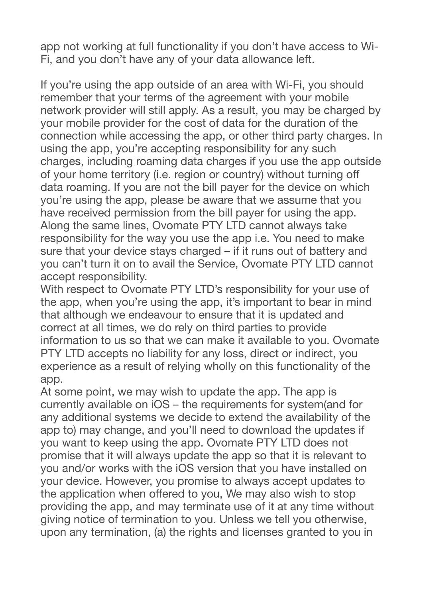app not working at full functionality if you don't have access to Wi-Fi, and you don't have any of your data allowance left.

If you're using the app outside of an area with Wi-Fi, you should remember that your terms of the agreement with your mobile network provider will still apply. As a result, you may be charged by your mobile provider for the cost of data for the duration of the connection while accessing the app, or other third party charges. In using the app, you're accepting responsibility for any such charges, including roaming data charges if you use the app outside of your home territory (i.e. region or country) without turning off data roaming. If you are not the bill payer for the device on which you're using the app, please be aware that we assume that you have received permission from the bill payer for using the app. Along the same lines, Ovomate PTY LTD cannot always take responsibility for the way you use the app i.e. You need to make sure that your device stays charged – if it runs out of battery and you can't turn it on to avail the Service, Ovomate PTY LTD cannot accept responsibility.

With respect to Ovomate PTY LTD's responsibility for your use of the app, when you're using the app, it's important to bear in mind that although we endeavour to ensure that it is updated and correct at all times, we do rely on third parties to provide information to us so that we can make it available to you. Ovomate PTY LTD accepts no liability for any loss, direct or indirect, you experience as a result of relying wholly on this functionality of the app.

At some point, we may wish to update the app. The app is currently available on iOS – the requirements for system(and for any additional systems we decide to extend the availability of the app to) may change, and you'll need to download the updates if you want to keep using the app. Ovomate PTY LTD does not promise that it will always update the app so that it is relevant to you and/or works with the iOS version that you have installed on your device. However, you promise to always accept updates to the application when offered to you, We may also wish to stop providing the app, and may terminate use of it at any time without giving notice of termination to you. Unless we tell you otherwise, upon any termination, (a) the rights and licenses granted to you in